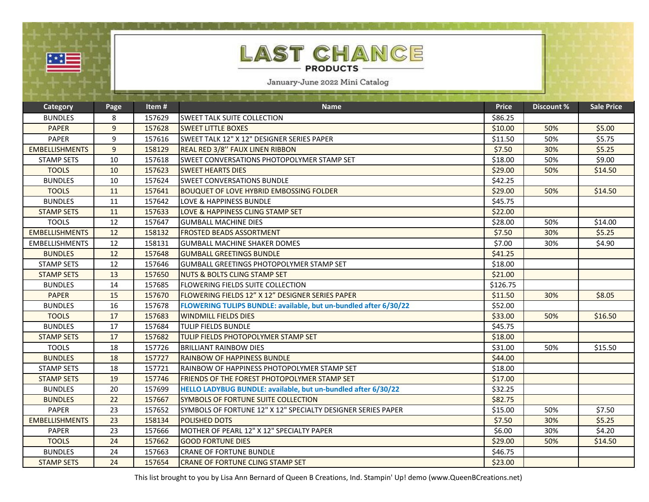| <b>LAST CHANCE</b><br>▓▓▆<br><b>PRODUCTS</b><br>January-June 2022 Mini Catalog |                |        |                                                                  |              |                   |                   |
|--------------------------------------------------------------------------------|----------------|--------|------------------------------------------------------------------|--------------|-------------------|-------------------|
| Category                                                                       | Page           | Item#  | <b>Name</b>                                                      | <b>Price</b> | <b>Discount %</b> | <b>Sale Price</b> |
| <b>BUNDLES</b>                                                                 | 8              | 157629 | <b>SWEET TALK SUITE COLLECTION</b>                               | \$86.25      |                   |                   |
| <b>PAPER</b>                                                                   | $\overline{9}$ | 157628 | <b>SWEET LITTLE BOXES</b>                                        | \$10.00      | 50%               | \$5.00            |
| <b>PAPER</b>                                                                   | 9              | 157616 | lSWEET TALK 12" X 12" DESIGNER SERIES PAPER                      | \$11.50      | 50%               | \$5.75            |
| <b>EMBELLISHMENTS</b>                                                          | 9              | 158129 | REAL RED 3/8" FAUX LINEN RIBBON                                  | \$7.50       | 30%               | \$5.25            |
| <b>STAMP SETS</b>                                                              | 10             | 157618 | <b>SWEET CONVERSATIONS PHOTOPOLYMER STAMP SET</b>                | \$18.00      | 50%               | \$9.00            |
| <b>TOOLS</b>                                                                   | 10             | 157623 | <b>SWEET HEARTS DIES</b>                                         | \$29.00      | 50%               | \$14.50           |
| <b>BUNDLES</b>                                                                 | 10             | 157624 | <b>ISWEET CONVERSATIONS BUNDLE</b>                               | \$42.25      |                   |                   |
| <b>TOOLS</b>                                                                   | 11             | 157641 | <b>BOUQUET OF LOVE HYBRID EMBOSSING FOLDER</b>                   | \$29.00      | 50%               | \$14.50           |
| <b>BUNDLES</b>                                                                 | 11             | 157642 | <b>LOVE &amp; HAPPINESS BUNDLE</b>                               | \$45.75      |                   |                   |
| <b>STAMP SETS</b>                                                              | 11             | 157633 | LOVE & HAPPINESS CLING STAMP SET                                 | \$22.00      |                   |                   |
| <b>TOOLS</b>                                                                   | 12             | 157647 | <b>GUMBALL MACHINE DIES</b>                                      | \$28.00      | 50%               | \$14.00           |
| <b>EMBELLISHMENTS</b>                                                          | 12             | 158132 | <b>FROSTED BEADS ASSORTMENT</b>                                  | \$7.50       | 30%               | \$5.25            |
| <b>EMBELLISHMENTS</b>                                                          | 12             | 158131 | <b>GUMBALL MACHINE SHAKER DOMES</b>                              | \$7.00       | 30%               | \$4.90            |
| <b>BUNDLES</b>                                                                 | 12             | 157648 | <b>GUMBALL GREETINGS BUNDLE</b>                                  | \$41.25      |                   |                   |
| <b>STAMP SETS</b>                                                              | 12             | 157646 | <b>GUMBALL GREETINGS PHOTOPOLYMER STAMP SET</b>                  | \$18.00      |                   |                   |
| <b>STAMP SETS</b>                                                              | 13             | 157650 | NUTS & BOLTS CLING STAMP SET                                     | \$21.00      |                   |                   |
| <b>BUNDLES</b>                                                                 | 14             | 157685 | <b>FLOWERING FIELDS SUITE COLLECTION</b>                         | \$126.75     |                   |                   |
| <b>PAPER</b>                                                                   | 15             | 157670 | FLOWERING FIELDS 12" X 12" DESIGNER SERIES PAPER                 | \$11.50      | 30%               | \$8.05            |
| <b>BUNDLES</b>                                                                 | 16             | 157678 | FLOWERING TULIPS BUNDLE: available, but un-bundled after 6/30/22 | \$52.00      |                   |                   |
| <b>TOOLS</b>                                                                   | 17             | 157683 | <b>WINDMILL FIELDS DIES</b>                                      | \$33.00      | 50%               | \$16.50           |
| <b>BUNDLES</b>                                                                 | 17             | 157684 | <b>TULIP FIELDS BUNDLE</b>                                       | \$45.75      |                   |                   |
| <b>STAMP SETS</b>                                                              | 17             | 157682 | TULIP FIELDS PHOTOPOLYMER STAMP SET                              | \$18.00      |                   |                   |
| <b>TOOLS</b>                                                                   | 18             | 157726 | <b>BRILLIANT RAINBOW DIES</b>                                    | \$31.00      | 50%               | \$15.50           |
| <b>BUNDLES</b>                                                                 | 18             | 157727 | <b>RAINBOW OF HAPPINESS BUNDLE</b>                               | \$44.00      |                   |                   |
| <b>STAMP SETS</b>                                                              | 18             | 157721 | RAINBOW OF HAPPINESS PHOTOPOLYMER STAMP SET                      | \$18.00      |                   |                   |
| <b>STAMP SETS</b>                                                              | 19             | 157746 | <b>FRIENDS OF THE FOREST PHOTOPOLYMER STAMP SET</b>              | \$17.00      |                   |                   |
| <b>BUNDLES</b>                                                                 | 20             | 157699 | HELLO LADYBUG BUNDLE: available, but un-bundled after 6/30/22    | \$32.25      |                   |                   |
| <b>BUNDLES</b>                                                                 | 22             | 157667 | SYMBOLS OF FORTUNE SUITE COLLECTION                              | \$82.75      |                   |                   |
| <b>PAPER</b>                                                                   | 23             | 157652 | SYMBOLS OF FORTUNE 12" X 12" SPECIALTY DESIGNER SERIES PAPER     | \$15.00      | 50%               | \$7.50            |
| <b>EMBELLISHMENTS</b>                                                          | 23             | 158134 | <b>POLISHED DOTS</b>                                             | \$7.50       | 30%               | \$5.25            |
| PAPER                                                                          | 23             | 157666 | MOTHER OF PEARL 12" X 12" SPECIALTY PAPER                        | \$6.00       | 30%               | \$4.20            |
| <b>TOOLS</b>                                                                   | 24             | 157662 | <b>GOOD FORTUNE DIES</b>                                         | \$29.00      | 50%               | \$14.50           |
| <b>BUNDLES</b>                                                                 | 24             | 157663 | <b>CRANE OF FORTUNE BUNDLE</b>                                   | \$46.75      |                   |                   |
| <b>STAMP SETS</b>                                                              | 24             | 157654 | <b>CRANE OF FORTUNE CLING STAMP SET</b>                          | \$23.00      |                   |                   |

This list brought to you by Lisa Ann Bernard of Queen B Creations, Ind. Stampin' Up! demo (www.QueenBCreations.net)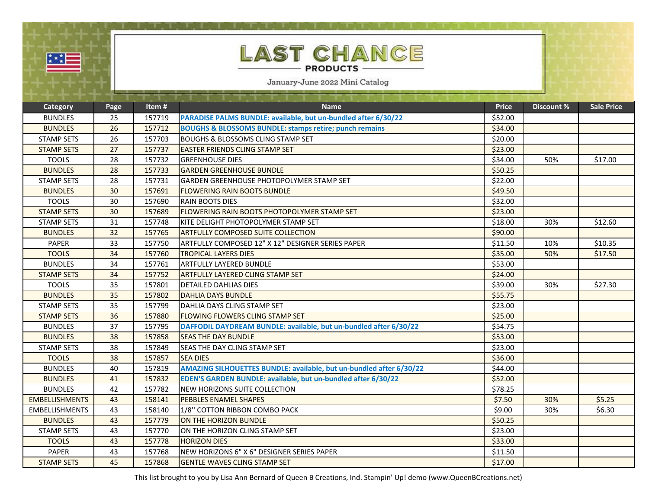| ٠<br>om. | __<br>a an |  |  |
|----------|------------|--|--|
|          |            |  |  |

## **AST CHANCE** ſL **PRODUCTS**

January-June 2022 Mini Catalog

| <b>Category</b>       | Page | Item#  | <b>Name</b>                                                         | <b>Price</b> | Discount % | <b>Sale Price</b> |
|-----------------------|------|--------|---------------------------------------------------------------------|--------------|------------|-------------------|
| <b>BUNDLES</b>        | 25   | 157719 | PARADISE PALMS BUNDLE: available, but un-bundled after 6/30/22      | \$52.00      |            |                   |
| <b>BUNDLES</b>        | 26   | 157712 | <b>BOUGHS &amp; BLOSSOMS BUNDLE: stamps retire; punch remains</b>   | \$34.00      |            |                   |
| <b>STAMP SETS</b>     | 26   | 157703 | <b>BOUGHS &amp; BLOSSOMS CLING STAMP SET</b>                        | \$20.00      |            |                   |
| <b>STAMP SETS</b>     | 27   | 157737 | <b>EASTER FRIENDS CLING STAMP SET</b>                               | \$23.00      |            |                   |
| <b>TOOLS</b>          | 28   | 157732 | <b>GREENHOUSE DIES</b>                                              | \$34.00      | 50%        | \$17.00           |
| <b>BUNDLES</b>        | 28   | 157733 | <b>GARDEN GREENHOUSE BUNDLE</b>                                     | \$50.25      |            |                   |
| <b>STAMP SETS</b>     | 28   | 157731 | IGARDEN GREENHOUSE PHOTOPOLYMER STAMP SET                           | \$22.00      |            |                   |
| <b>BUNDLES</b>        | 30   | 157691 | <b>FLOWERING RAIN BOOTS BUNDLE</b>                                  | \$49.50      |            |                   |
| <b>TOOLS</b>          | 30   | 157690 | <b>RAIN BOOTS DIES</b>                                              | \$32.00      |            |                   |
| <b>STAMP SETS</b>     | 30   | 157689 | FLOWERING RAIN BOOTS PHOTOPOLYMER STAMP SET                         | \$23.00      |            |                   |
| <b>STAMP SETS</b>     | 31   | 157748 | IKITE DELIGHT PHOTOPOLYMER STAMP SET                                | \$18.00      | 30%        | \$12.60           |
| <b>BUNDLES</b>        | 32   | 157765 | <b>ARTFULLY COMPOSED SUITE COLLECTION</b>                           | \$90.00      |            |                   |
| <b>PAPER</b>          | 33   | 157750 | ARTFULLY COMPOSED 12" X 12" DESIGNER SERIES PAPER                   | \$11.50      | 10%        | \$10.35           |
| <b>TOOLS</b>          | 34   | 157760 | <b>TROPICAL LAYERS DIES</b>                                         | \$35.00      | 50%        | \$17.50           |
| <b>BUNDLES</b>        | 34   | 157761 | <b>ARTFULLY LAYERED BUNDLE</b>                                      | \$53.00      |            |                   |
| <b>STAMP SETS</b>     | 34   | 157752 | <b>ARTFULLY LAYERED CLING STAMP SET</b>                             | \$24.00      |            |                   |
| <b>TOOLS</b>          | 35   | 157801 | <b>DETAILED DAHLIAS DIES</b>                                        | \$39.00      | 30%        | \$27.30           |
| <b>BUNDLES</b>        | 35   | 157802 | <b>DAHLIA DAYS BUNDLE</b>                                           | \$55.75      |            |                   |
| <b>STAMP SETS</b>     | 35   | 157799 | DAHLIA DAYS CLING STAMP SET                                         | \$23.00      |            |                   |
| <b>STAMP SETS</b>     | 36   | 157880 | <b>FLOWING FLOWERS CLING STAMP SET</b>                              | \$25.00      |            |                   |
| <b>BUNDLES</b>        | 37   | 157795 | DAFFODIL DAYDREAM BUNDLE: available, but un-bundled after 6/30/22   | \$54.75      |            |                   |
| <b>BUNDLES</b>        | 38   | 157858 | <b>SEAS THE DAY BUNDLE</b>                                          | \$53.00      |            |                   |
| <b>STAMP SETS</b>     | 38   | 157849 | <b>SEAS THE DAY CLING STAMP SET</b>                                 | \$23.00      |            |                   |
| <b>TOOLS</b>          | 38   | 157857 | <b>SEA DIES</b>                                                     | \$36.00      |            |                   |
| <b>BUNDLES</b>        | 40   | 157819 | AMAZING SILHOUETTES BUNDLE: available, but un-bundled after 6/30/22 | \$44.00      |            |                   |
| <b>BUNDLES</b>        | 41   | 157832 | EDEN'S GARDEN BUNDLE: available, but un-bundled after 6/30/22       | \$52.00      |            |                   |
| <b>BUNDLES</b>        | 42   | 157782 | <b>NEW HORIZONS SUITE COLLECTION</b>                                | \$78.25      |            |                   |
| <b>EMBELLISHMENTS</b> | 43   | 158141 | <b>PEBBLES ENAMEL SHAPES</b>                                        | \$7.50       | 30%        | \$5.25            |
| <b>EMBELLISHMENTS</b> | 43   | 158140 | 1/8" COTTON RIBBON COMBO PACK                                       | \$9.00       | 30%        | \$6.30            |
| <b>BUNDLES</b>        | 43   | 157779 | ON THE HORIZON BUNDLE                                               | \$50.25      |            |                   |
| <b>STAMP SETS</b>     | 43   | 157770 | ON THE HORIZON CLING STAMP SET                                      | \$23.00      |            |                   |
| <b>TOOLS</b>          | 43   | 157778 | <b>HORIZON DIES</b>                                                 | \$33.00      |            |                   |
| <b>PAPER</b>          | 43   | 157768 | NEW HORIZONS 6" X 6" DESIGNER SERIES PAPER                          | \$11.50      |            |                   |
| <b>STAMP SETS</b>     | 45   | 157868 | <b>GENTLE WAVES CLING STAMP SET</b>                                 | \$17.00      |            |                   |

This list brought to you by Lisa Ann Bernard of Queen B Creations, Ind. Stampin' Up! demo (www.QueenBCreations.net)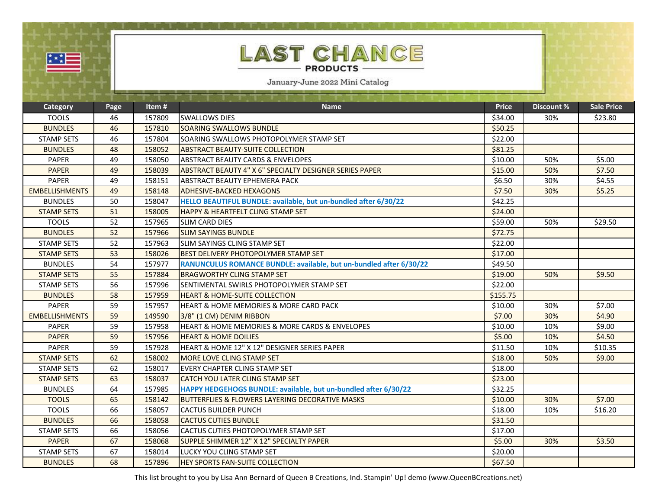| 翠星                    |      |        | LAST CHANCE<br><b>PRODUCTS</b><br>January-June 2022 Mini Catalog   |              |                   |                   |
|-----------------------|------|--------|--------------------------------------------------------------------|--------------|-------------------|-------------------|
|                       |      | Item#  |                                                                    | <b>Price</b> | <b>Discount %</b> | <b>Sale Price</b> |
| <b>Category</b>       | Page |        | <b>Name</b>                                                        |              |                   |                   |
| <b>TOOLS</b>          | 46   | 157809 | <b>SWALLOWS DIES</b>                                               | \$34.00      | 30%               | \$23.80           |
| <b>BUNDLES</b>        | 46   | 157810 | <b>SOARING SWALLOWS BUNDLE</b>                                     | \$50.25      |                   |                   |
| <b>STAMP SETS</b>     | 46   | 157804 | SOARING SWALLOWS PHOTOPOLYMER STAMP SET                            | \$22.00      |                   |                   |
| <b>BUNDLES</b>        | 48   | 158052 | <b>ABSTRACT BEAUTY-SUITE COLLECTION</b>                            | \$81.25      |                   |                   |
| <b>PAPER</b>          | 49   | 158050 | <b>ABSTRACT BEAUTY CARDS &amp; ENVELOPES</b>                       | \$10.00      | 50%               | \$5.00            |
| <b>PAPER</b>          | 49   | 158039 | ABSTRACT BEAUTY 4" X 6" SPECIALTY DESIGNER SERIES PAPER            | \$15.00      | 50%               | \$7.50            |
| <b>PAPER</b>          | 49   | 158151 | <b>ABSTRACT BEAUTY EPHEMERA PACK</b>                               | \$6.50       | 30%               | \$4.55            |
| <b>EMBELLISHMENTS</b> | 49   | 158148 | <b>ADHESIVE-BACKED HEXAGONS</b>                                    | \$7.50       | 30%               | \$5.25            |
| <b>BUNDLES</b>        | 50   | 158047 | HELLO BEAUTIFUL BUNDLE: available, but un-bundled after 6/30/22    | \$42.25      |                   |                   |
| <b>STAMP SETS</b>     | 51   | 158005 | <b>HAPPY &amp; HEARTFELT CLING STAMP SET</b>                       | \$24.00      |                   |                   |
| <b>TOOLS</b>          | 52   | 157965 | <b>SLIM CARD DIES</b>                                              | \$59.00      | 50%               | \$29.50           |
| <b>BUNDLES</b>        | 52   | 157966 | <b>SLIM SAYINGS BUNDLE</b>                                         | \$72.75      |                   |                   |
| <b>STAMP SETS</b>     | 52   | 157963 | <b>I</b> SLIM SAYINGS CLING STAMP SET                              | \$22.00      |                   |                   |
| <b>STAMP SETS</b>     | 53   | 158026 | <b>BEST DELIVERY PHOTOPOLYMER STAMP SET</b>                        | \$17.00      |                   |                   |
| <b>BUNDLES</b>        | 54   | 157977 | RANUNCULUS ROMANCE BUNDLE: available, but un-bundled after 6/30/22 | \$49.50      |                   |                   |
| <b>STAMP SETS</b>     | 55   | 157884 | <b>BRAGWORTHY CLING STAMP SET</b>                                  | \$19.00      | 50%               | \$9.50            |
| <b>STAMP SETS</b>     | 56   | 157996 | ISENTIMENTAL SWIRLS PHOTOPOLYMER STAMP SET                         | \$22.00      |                   |                   |
| <b>BUNDLES</b>        | 58   | 157959 | <b>HEART &amp; HOME-SUITE COLLECTION</b>                           | \$155.75     |                   |                   |
| PAPER                 | 59   | 157957 | <b>HEART &amp; HOME MEMORIES &amp; MORE CARD PACK</b>              | \$10.00      | 30%               | \$7.00            |
| <b>EMBELLISHMENTS</b> | 59   | 149590 | 3/8" (1 CM) DENIM RIBBON                                           | \$7.00       | 30%               | \$4.90            |
| <b>PAPER</b>          | 59   | 157958 | <b>HEART &amp; HOME MEMORIES &amp; MORE CARDS &amp; ENVELOPES</b>  | \$10.00      | 10%               | \$9.00            |
| <b>PAPER</b>          | 59   | 157956 | <b>HEART &amp; HOME DOILIES</b>                                    | \$5.00       | 10%               | \$4.50            |
| PAPER                 | 59   | 157928 | HEART & HOME 12" X 12" DESIGNER SERIES PAPER                       | \$11.50      | 10%               | \$10.35           |
| <b>STAMP SETS</b>     | 62   | 158002 | <b>MORE LOVE CLING STAMP SET</b>                                   | \$18.00      | 50%               | \$9.00            |
| <b>STAMP SETS</b>     | 62   | 158017 | EVERY CHAPTER CLING STAMP SET                                      | \$18.00      |                   |                   |
| <b>STAMP SETS</b>     | 63   | 158037 | <b>CATCH YOU LATER CLING STAMP SET</b>                             | \$23.00      |                   |                   |
| <b>BUNDLES</b>        | 64   | 157985 | HAPPY HEDGEHOGS BUNDLE: available, but un-bundled after 6/30/22    | \$32.25      |                   |                   |
| <b>TOOLS</b>          | 65   | 158142 | <b>BUTTERFLIES &amp; FLOWERS LAYERING DECORATIVE MASKS</b>         | \$10.00      | 30%               | \$7.00            |
| <b>TOOLS</b>          | 66   | 158057 | <b>CACTUS BUILDER PUNCH</b>                                        | \$18.00      | 10%               | \$16.20           |
| <b>BUNDLES</b>        | 66   | 158058 | <b>CACTUS CUTIES BUNDLE</b>                                        | \$31.50      |                   |                   |
| <b>STAMP SETS</b>     | 66   | 158056 | <b>CACTUS CUTIES PHOTOPOLYMER STAMP SET</b>                        | \$17.00      |                   |                   |
| <b>PAPER</b>          | 67   | 158068 | SUPPLE SHIMMER 12" X 12" SPECIALTY PAPER                           | \$5.00       | 30%               | \$3.50            |
| <b>STAMP SETS</b>     | 67   | 158014 | <b>LUCKY YOU CLING STAMP SET</b>                                   | \$20.00      |                   |                   |
| <b>BUNDLES</b>        | 68   | 157896 | <b>HEY SPORTS FAN-SUITE COLLECTION</b>                             | \$67.50      |                   |                   |

This list brought to you by Lisa Ann Bernard of Queen B Creations, Ind. Stampin' Up! demo (www.QueenBCreations.net)